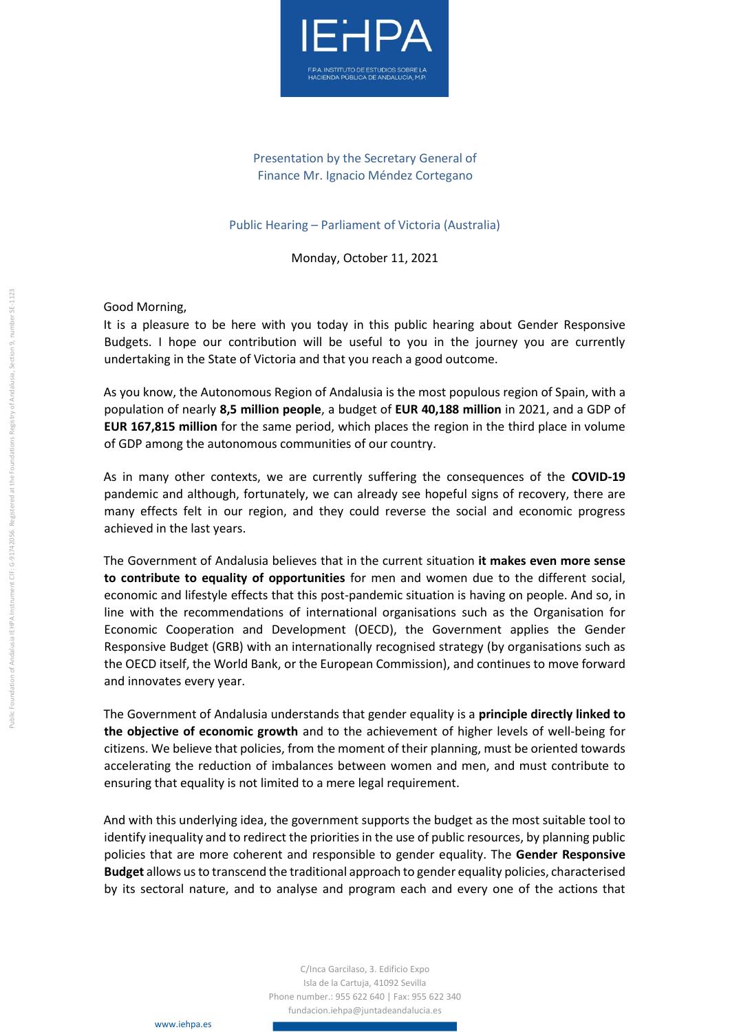

## Presentation by the Secretary General of Finance Mr. Ignacio Méndez Cortegano

## Public Hearing – Parliament of Victoria (Australia)

Monday, October 11, 2021

Good Morning,

It is a pleasure to be here with you today in this public hearing about Gender Responsive Budgets. I hope our contribution will be useful to you in the journey you are currently undertaking in the State of Victoria and that you reach a good outcome.

As you know, the Autonomous Region of Andalusia is the most populous region of Spain, with a population of nearly **8,5 million people**, a budget of **EUR 40,188 million** in 2021, and a GDP of **EUR 167,815 million** for the same period, which places the region in the third place in volume of GDP among the autonomous communities of our country.

As in many other contexts, we are currently suffering the consequences of the **COVID-19** pandemic and although, fortunately, we can already see hopeful signs of recovery, there are many effects felt in our region, and they could reverse the social and economic progress achieved in the last years.

The Government of Andalusia believes that in the current situation **it makes even more sense to contribute to equality of opportunities** for men and women due to the different social, economic and lifestyle effects that this post-pandemic situation is having on people. And so, in line with the recommendations of international organisations such as the Organisation for Economic Cooperation and Development (OECD), the Government applies the Gender Responsive Budget (GRB) with an internationally recognised strategy (by organisations such as the OECD itself, the World Bank, or the European Commission), and continues to move forward and innovates every year.

The Government of Andalusia understands that gender equality is a **principle directly linked to the objective of economic growth** and to the achievement of higher levels of well-being for citizens. We believe that policies, from the moment of their planning, must be oriented towards accelerating the reduction of imbalances between women and men, and must contribute to ensuring that equality is not limited to a mere legal requirement.

And with this underlying idea, the government supports the budget as the most suitable tool to identify inequality and to redirect the priorities in the use of public resources, by planning public policies that are more coherent and responsible to gender equality. The **Gender Responsive Budget** allows us to transcend the traditional approach to gender equality policies, characterised by its sectoral nature, and to analyse and program each and every one of the actions that

> C/Inca Garcilaso, 3. Edificio Expo Isla de la Cartuja, 41092 Sevilla Phone number.: 955 622 640 | Fax: 955 622 340 fundacion.iehpa@juntadeandalucia.es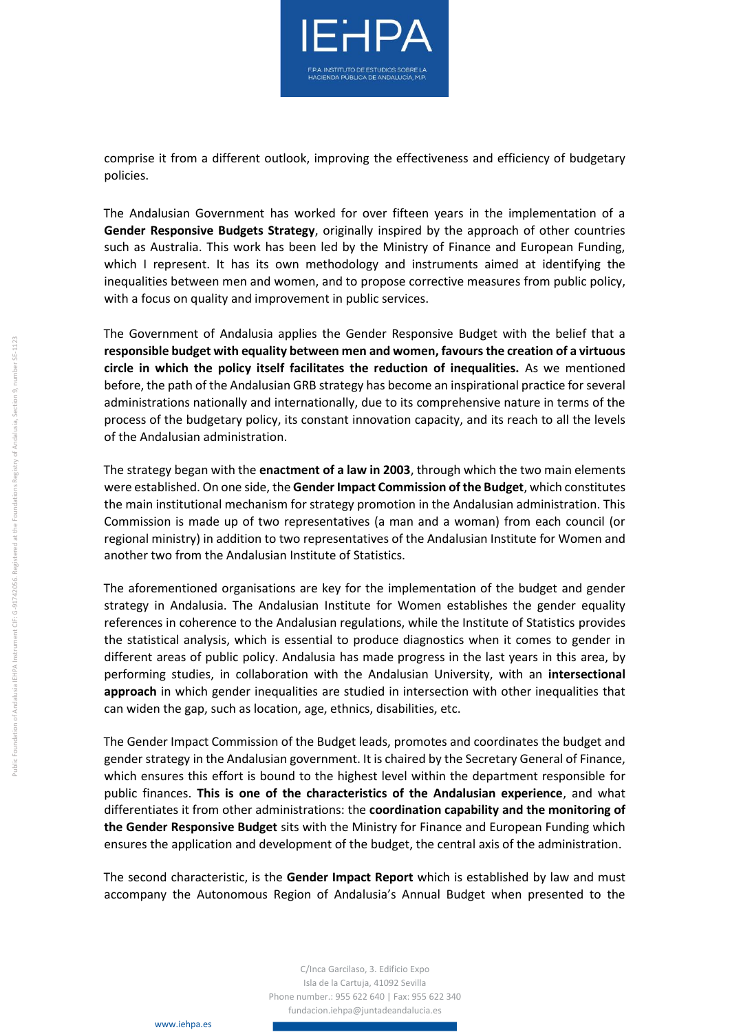

comprise it from a different outlook, improving the effectiveness and efficiency of budgetary policies.

The Andalusian Government has worked for over fifteen years in the implementation of a **Gender Responsive Budgets Strategy**, originally inspired by the approach of other countries such as Australia. This work has been led by the Ministry of Finance and European Funding, which I represent. It has its own methodology and instruments aimed at identifying the inequalities between men and women, and to propose corrective measures from public policy, with a focus on quality and improvement in public services.

The Government of Andalusia applies the Gender Responsive Budget with the belief that a **responsible budget with equality between men and women, favours the creation of a virtuous circle in which the policy itself facilitates the reduction of inequalities.** As we mentioned before, the path of the Andalusian GRB strategy has become an inspirational practice for several administrations nationally and internationally, due to its comprehensive nature in terms of the process of the budgetary policy, its constant innovation capacity, and its reach to all the levels of the Andalusian administration.

The strategy began with the **enactment of a law in 2003**, through which the two main elements were established. On one side, the **Gender Impact Commission of the Budget**, which constitutes the main institutional mechanism for strategy promotion in the Andalusian administration. This Commission is made up of two representatives (a man and a woman) from each council (or regional ministry) in addition to two representatives of the Andalusian Institute for Women and another two from the Andalusian Institute of Statistics.

The aforementioned organisations are key for the implementation of the budget and gender strategy in Andalusia. The Andalusian Institute for Women establishes the gender equality references in coherence to the Andalusian regulations, while the Institute of Statistics provides the statistical analysis, which is essential to produce diagnostics when it comes to gender in different areas of public policy. Andalusia has made progress in the last years in this area, by performing studies, in collaboration with the Andalusian University, with an **intersectional approach** in which gender inequalities are studied in intersection with other inequalities that can widen the gap, such as location, age, ethnics, disabilities, etc.

The Gender Impact Commission of the Budget leads, promotes and coordinates the budget and gender strategy in the Andalusian government. It is chaired by the Secretary General of Finance, which ensures this effort is bound to the highest level within the department responsible for public finances. **This is one of the characteristics of the Andalusian experience**, and what differentiates it from other administrations: the **coordination capability and the monitoring of the Gender Responsive Budget** sits with the Ministry for Finance and European Funding which ensures the application and development of the budget, the central axis of the administration.

The second characteristic, is the **Gender Impact Report** which is established by law and must accompany the Autonomous Region of Andalusia's Annual Budget when presented to the

> C/Inca Garcilaso, 3. Edificio Expo Isla de la Cartuja, 41092 Sevilla Phone number.: 955 622 640 | Fax: 955 622 340 fundacion.iehpa@juntadeandalucia.es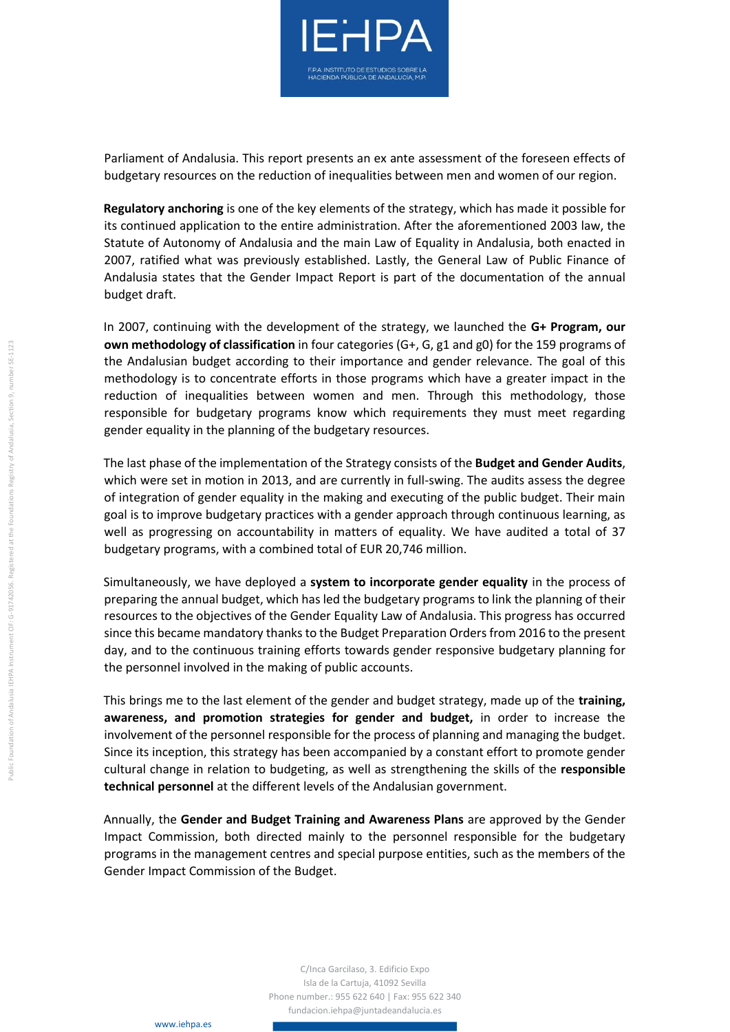

Parliament of Andalusia. This report presents an ex ante assessment of the foreseen effects of budgetary resources on the reduction of inequalities between men and women of our region.

**Regulatory anchoring** is one of the key elements of the strategy, which has made it possible for its continued application to the entire administration. After the aforementioned 2003 law, the Statute of Autonomy of Andalusia and the main Law of Equality in Andalusia, both enacted in 2007, ratified what was previously established. Lastly, the General Law of Public Finance of Andalusia states that the Gender Impact Report is part of the documentation of the annual budget draft.

In 2007, continuing with the development of the strategy, we launched the **G+ Program, our own methodology of classification** in four categories (G+, G, g1 and g0) for the 159 programs of the Andalusian budget according to their importance and gender relevance. The goal of this methodology is to concentrate efforts in those programs which have a greater impact in the reduction of inequalities between women and men. Through this methodology, those responsible for budgetary programs know which requirements they must meet regarding gender equality in the planning of the budgetary resources.

The last phase of the implementation of the Strategy consists of the **Budget and Gender Audits**, which were set in motion in 2013, and are currently in full-swing. The audits assess the degree of integration of gender equality in the making and executing of the public budget. Their main goal is to improve budgetary practices with a gender approach through continuous learning, as well as progressing on accountability in matters of equality. We have audited a total of 37 budgetary programs, with a combined total of EUR 20,746 million.

Simultaneously, we have deployed a **system to incorporate gender equality** in the process of preparing the annual budget, which has led the budgetary programs to link the planning of their resources to the objectives of the Gender Equality Law of Andalusia. This progress has occurred since this became mandatory thanks to the Budget Preparation Orders from 2016 to the present day, and to the continuous training efforts towards gender responsive budgetary planning for the personnel involved in the making of public accounts.

This brings me to the last element of the gender and budget strategy, made up of the **training, awareness, and promotion strategies for gender and budget,** in order to increase the involvement of the personnel responsible for the process of planning and managing the budget. Since its inception, this strategy has been accompanied by a constant effort to promote gender cultural change in relation to budgeting, as well as strengthening the skills of the **responsible technical personnel** at the different levels of the Andalusian government.

Annually, the **Gender and Budget Training and Awareness Plans** are approved by the Gender Impact Commission, both directed mainly to the personnel responsible for the budgetary programs in the management centres and special purpose entities, such as the members of the Gender Impact Commission of the Budget.

> C/Inca Garcilaso, 3. Edificio Expo Isla de la Cartuja, 41092 Sevilla Phone number.: 955 622 640 | Fax: 955 622 340 fundacion.iehpa@juntadeandalucia.es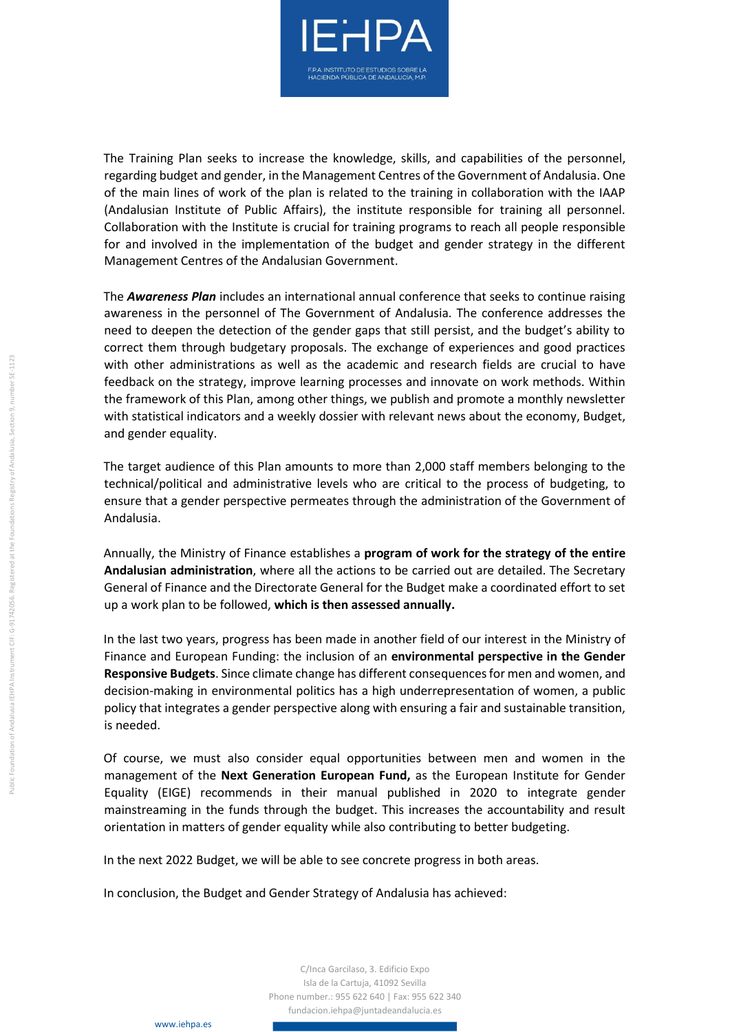

The Training Plan seeks to increase the knowledge, skills, and capabilities of the personnel, regarding budget and gender, in the Management Centres of the Government of Andalusia. One of the main lines of work of the plan is related to the training in collaboration with the IAAP (Andalusian Institute of Public Affairs), the institute responsible for training all personnel. Collaboration with the Institute is crucial for training programs to reach all people responsible for and involved in the implementation of the budget and gender strategy in the different Management Centres of the Andalusian Government.

The *Awareness Plan* includes an international annual conference that seeks to continue raising awareness in the personnel of The Government of Andalusia. The conference addresses the need to deepen the detection of the gender gaps that still persist, and the budget's ability to correct them through budgetary proposals. The exchange of experiences and good practices with other administrations as well as the academic and research fields are crucial to have feedback on the strategy, improve learning processes and innovate on work methods. Within the framework of this Plan, among other things, we publish and promote a monthly newsletter with statistical indicators and a weekly dossier with relevant news about the economy, Budget, and gender equality.

The target audience of this Plan amounts to more than 2,000 staff members belonging to the technical/political and administrative levels who are critical to the process of budgeting, to ensure that a gender perspective permeates through the administration of the Government of Andalusia.

Annually, the Ministry of Finance establishes a **program of work for the strategy of the entire Andalusian administration**, where all the actions to be carried out are detailed. The Secretary General of Finance and the Directorate General for the Budget make a coordinated effort to set up a work plan to be followed, **which is then assessed annually.**

In the last two years, progress has been made in another field of our interest in the Ministry of Finance and European Funding: the inclusion of an **environmental perspective in the Gender Responsive Budgets**. Since climate change has different consequences for men and women, and decision-making in environmental politics has a high underrepresentation of women, a public policy that integrates a gender perspective along with ensuring a fair and sustainable transition, is needed.

Of course, we must also consider equal opportunities between men and women in the management of the **Next Generation European Fund,** as the European Institute for Gender Equality (EIGE) recommends in their manual published in 2020 to integrate gender mainstreaming in the funds through the budget. This increases the accountability and result orientation in matters of gender equality while also contributing to better budgeting.

In the next 2022 Budget, we will be able to see concrete progress in both areas.

In conclusion, the Budget and Gender Strategy of Andalusia has achieved:

ublic Foundation of Andalusia IEHPA Instrument CIF: G-91742056. Registered at the Foundations Registry of Andalusia, Section 9, number SE-1123